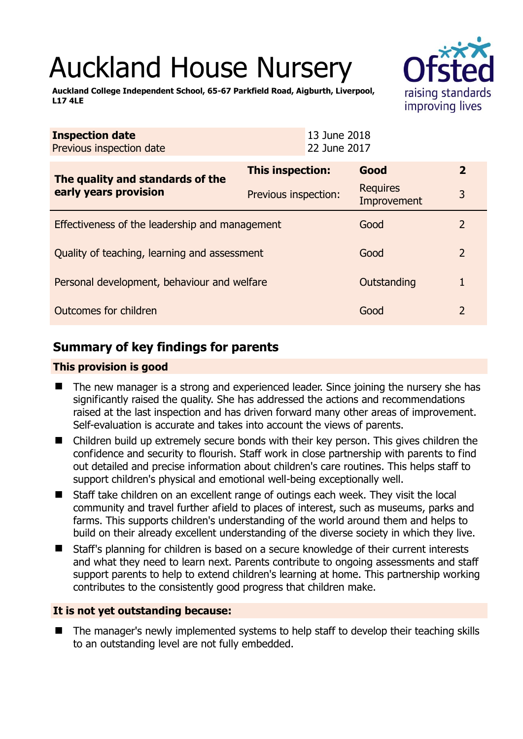# Auckland House Nursery

**Auckland College Independent School, 65-67 Parkfield Road, Aigburth, Liverpool, L17 4LE** 



| <b>Inspection date</b><br>Previous inspection date        | 13 June 2018<br>22 June 2017 |                                |               |
|-----------------------------------------------------------|------------------------------|--------------------------------|---------------|
| The quality and standards of the<br>early years provision | This inspection:             | Good                           | $\mathbf{2}$  |
|                                                           | Previous inspection:         | <b>Requires</b><br>Improvement | 3             |
| Effectiveness of the leadership and management            | Good                         | $\mathbf{2}$                   |               |
| Quality of teaching, learning and assessment              |                              | Good                           | $\mathcal{L}$ |
| Personal development, behaviour and welfare               |                              | Outstanding                    |               |
| Outcomes for children                                     |                              | Good                           | $\mathcal{L}$ |

# **Summary of key findings for parents**

## **This provision is good**

- The new manager is a strong and experienced leader. Since joining the nursery she has significantly raised the quality. She has addressed the actions and recommendations raised at the last inspection and has driven forward many other areas of improvement. Self-evaluation is accurate and takes into account the views of parents.
- Children build up extremely secure bonds with their key person. This gives children the confidence and security to flourish. Staff work in close partnership with parents to find out detailed and precise information about children's care routines. This helps staff to support children's physical and emotional well-being exceptionally well.
- Staff take children on an excellent range of outings each week. They visit the local community and travel further afield to places of interest, such as museums, parks and farms. This supports children's understanding of the world around them and helps to build on their already excellent understanding of the diverse society in which they live.
- Staff's planning for children is based on a secure knowledge of their current interests and what they need to learn next. Parents contribute to ongoing assessments and staff support parents to help to extend children's learning at home. This partnership working contributes to the consistently good progress that children make.

## **It is not yet outstanding because:**

 The manager's newly implemented systems to help staff to develop their teaching skills to an outstanding level are not fully embedded.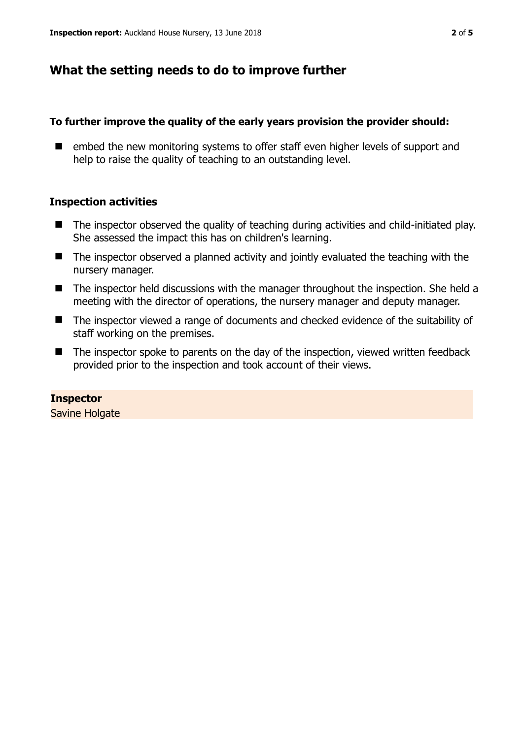# **What the setting needs to do to improve further**

## **To further improve the quality of the early years provision the provider should:**

■ embed the new monitoring systems to offer staff even higher levels of support and help to raise the quality of teaching to an outstanding level.

## **Inspection activities**

- The inspector observed the quality of teaching during activities and child-initiated play. She assessed the impact this has on children's learning.
- The inspector observed a planned activity and jointly evaluated the teaching with the nursery manager.
- The inspector held discussions with the manager throughout the inspection. She held a meeting with the director of operations, the nursery manager and deputy manager.
- The inspector viewed a range of documents and checked evidence of the suitability of staff working on the premises.
- The inspector spoke to parents on the day of the inspection, viewed written feedback provided prior to the inspection and took account of their views.

**Inspector**  Savine Holgate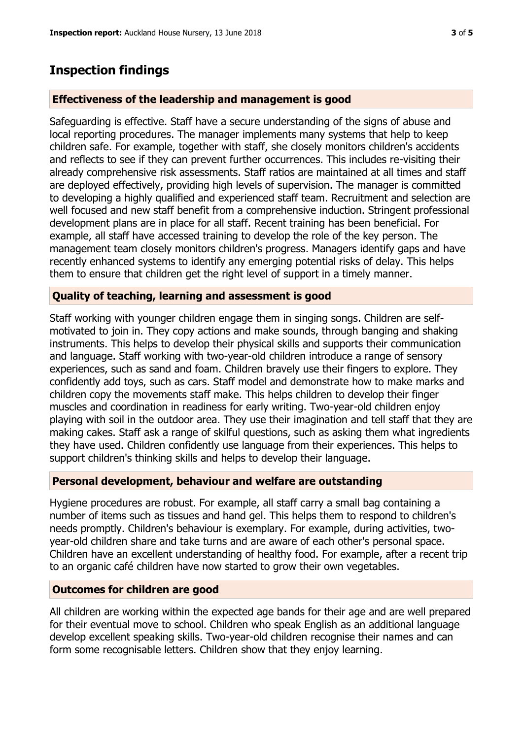## **Inspection findings**

#### **Effectiveness of the leadership and management is good**

Safeguarding is effective. Staff have a secure understanding of the signs of abuse and local reporting procedures. The manager implements many systems that help to keep children safe. For example, together with staff, she closely monitors children's accidents and reflects to see if they can prevent further occurrences. This includes re-visiting their already comprehensive risk assessments. Staff ratios are maintained at all times and staff are deployed effectively, providing high levels of supervision. The manager is committed to developing a highly qualified and experienced staff team. Recruitment and selection are well focused and new staff benefit from a comprehensive induction. Stringent professional development plans are in place for all staff. Recent training has been beneficial. For example, all staff have accessed training to develop the role of the key person. The management team closely monitors children's progress. Managers identify gaps and have recently enhanced systems to identify any emerging potential risks of delay. This helps them to ensure that children get the right level of support in a timely manner.

#### **Quality of teaching, learning and assessment is good**

Staff working with younger children engage them in singing songs. Children are selfmotivated to join in. They copy actions and make sounds, through banging and shaking instruments. This helps to develop their physical skills and supports their communication and language. Staff working with two-year-old children introduce a range of sensory experiences, such as sand and foam. Children bravely use their fingers to explore. They confidently add toys, such as cars. Staff model and demonstrate how to make marks and children copy the movements staff make. This helps children to develop their finger muscles and coordination in readiness for early writing. Two-year-old children enjoy playing with soil in the outdoor area. They use their imagination and tell staff that they are making cakes. Staff ask a range of skilful questions, such as asking them what ingredients they have used. Children confidently use language from their experiences. This helps to support children's thinking skills and helps to develop their language.

### **Personal development, behaviour and welfare are outstanding**

Hygiene procedures are robust. For example, all staff carry a small bag containing a number of items such as tissues and hand gel. This helps them to respond to children's needs promptly. Children's behaviour is exemplary. For example, during activities, twoyear-old children share and take turns and are aware of each other's personal space. Children have an excellent understanding of healthy food. For example, after a recent trip to an organic café children have now started to grow their own vegetables.

## **Outcomes for children are good**

All children are working within the expected age bands for their age and are well prepared for their eventual move to school. Children who speak English as an additional language develop excellent speaking skills. Two-year-old children recognise their names and can form some recognisable letters. Children show that they enjoy learning.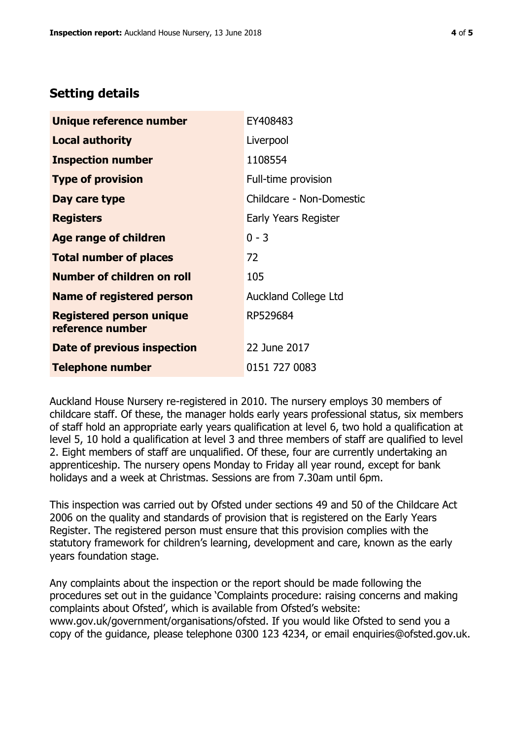# **Setting details**

| Unique reference number                             | EY408483                    |  |
|-----------------------------------------------------|-----------------------------|--|
| <b>Local authority</b>                              | Liverpool                   |  |
| <b>Inspection number</b>                            | 1108554                     |  |
| <b>Type of provision</b>                            | Full-time provision         |  |
| Day care type                                       | Childcare - Non-Domestic    |  |
| <b>Registers</b>                                    | Early Years Register        |  |
| Age range of children                               | $0 - 3$                     |  |
| <b>Total number of places</b>                       | 72                          |  |
| <b>Number of children on roll</b>                   | 105                         |  |
| <b>Name of registered person</b>                    | <b>Auckland College Ltd</b> |  |
| <b>Registered person unique</b><br>reference number | RP529684                    |  |
| Date of previous inspection                         | 22 June 2017                |  |
| <b>Telephone number</b>                             | 0151 727 0083               |  |

Auckland House Nursery re-registered in 2010. The nursery employs 30 members of childcare staff. Of these, the manager holds early years professional status, six members of staff hold an appropriate early years qualification at level 6, two hold a qualification at level 5, 10 hold a qualification at level 3 and three members of staff are qualified to level 2. Eight members of staff are unqualified. Of these, four are currently undertaking an apprenticeship. The nursery opens Monday to Friday all year round, except for bank holidays and a week at Christmas. Sessions are from 7.30am until 6pm.

This inspection was carried out by Ofsted under sections 49 and 50 of the Childcare Act 2006 on the quality and standards of provision that is registered on the Early Years Register. The registered person must ensure that this provision complies with the statutory framework for children's learning, development and care, known as the early years foundation stage.

Any complaints about the inspection or the report should be made following the procedures set out in the guidance 'Complaints procedure: raising concerns and making complaints about Ofsted', which is available from Ofsted's website: www.gov.uk/government/organisations/ofsted. If you would like Ofsted to send you a copy of the guidance, please telephone 0300 123 4234, or email enquiries@ofsted.gov.uk.